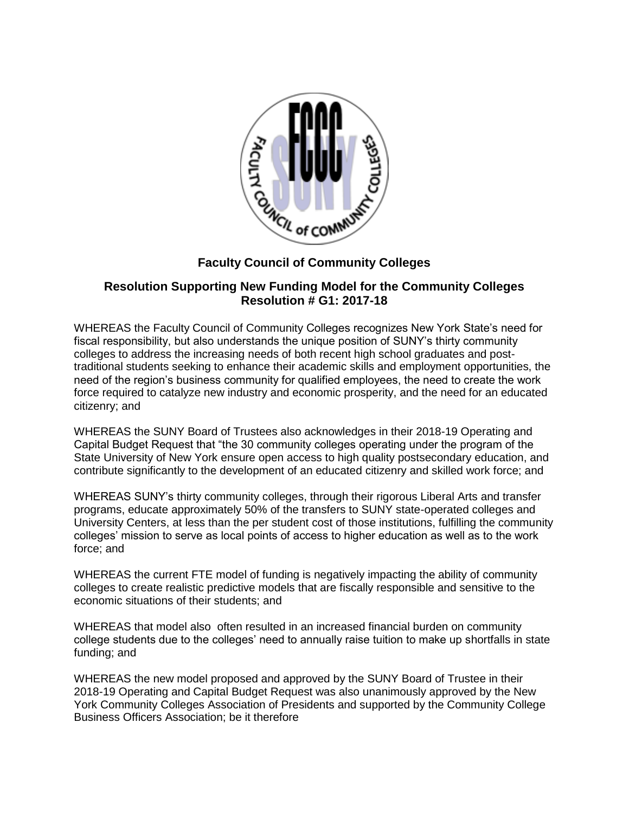

## **Faculty Council of Community Colleges**

## **Resolution Supporting New Funding Model for the Community Colleges Resolution # G1: 2017-18**

WHEREAS the Faculty Council of Community Colleges recognizes New York State's need for fiscal responsibility, but also understands the unique position of SUNY's thirty community colleges to address the increasing needs of both recent high school graduates and posttraditional students seeking to enhance their academic skills and employment opportunities, the need of the region's business community for qualified employees, the need to create the work force required to catalyze new industry and economic prosperity, and the need for an educated citizenry; and

WHEREAS the SUNY Board of Trustees also acknowledges in their 2018-19 Operating and Capital Budget Request that "the 30 community colleges operating under the program of the State University of New York ensure open access to high quality postsecondary education, and contribute significantly to the development of an educated citizenry and skilled work force; and

WHEREAS SUNY's thirty community colleges, through their rigorous Liberal Arts and transfer programs, educate approximately 50% of the transfers to SUNY state-operated colleges and University Centers, at less than the per student cost of those institutions, fulfilling the community colleges' mission to serve as local points of access to higher education as well as to the work force; and

WHEREAS the current FTE model of funding is negatively impacting the ability of community colleges to create realistic predictive models that are fiscally responsible and sensitive to the economic situations of their students; and

WHEREAS that model also often resulted in an increased financial burden on community college students due to the colleges' need to annually raise tuition to make up shortfalls in state funding; and

WHEREAS the new model proposed and approved by the SUNY Board of Trustee in their 2018-19 Operating and Capital Budget Request was also unanimously approved by the New York Community Colleges Association of Presidents and supported by the Community College Business Officers Association; be it therefore